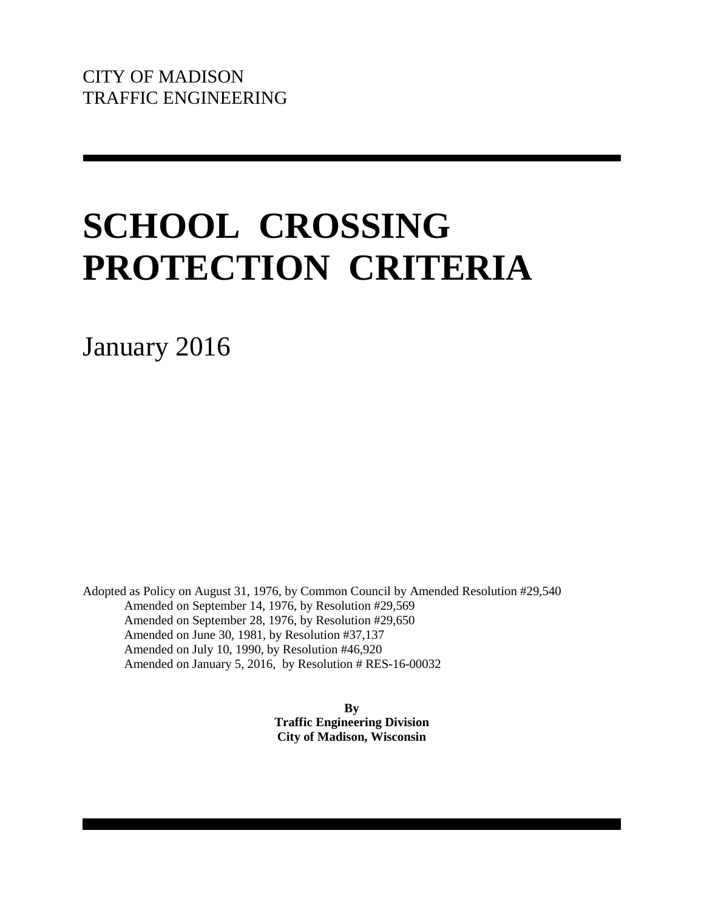# **SCHOOL CROSSING PROTECTION CRITERIA**

January 2016

Adopted as Policy on August 31, 1976, by Common Council by Amended Resolution #29,540 Amended on September 14, 1976, by Resolution #29,569 Amended on September 28, 1976, by Resolution #29,650 Amended on June 30, 1981, by Resolution #37,137 Amended on July 10, 1990, by Resolution #46,920 Amended on January 5, 2016, by Resolution # RES-16-00032

> **By Traffic Engineering Division City of Madison, Wisconsin**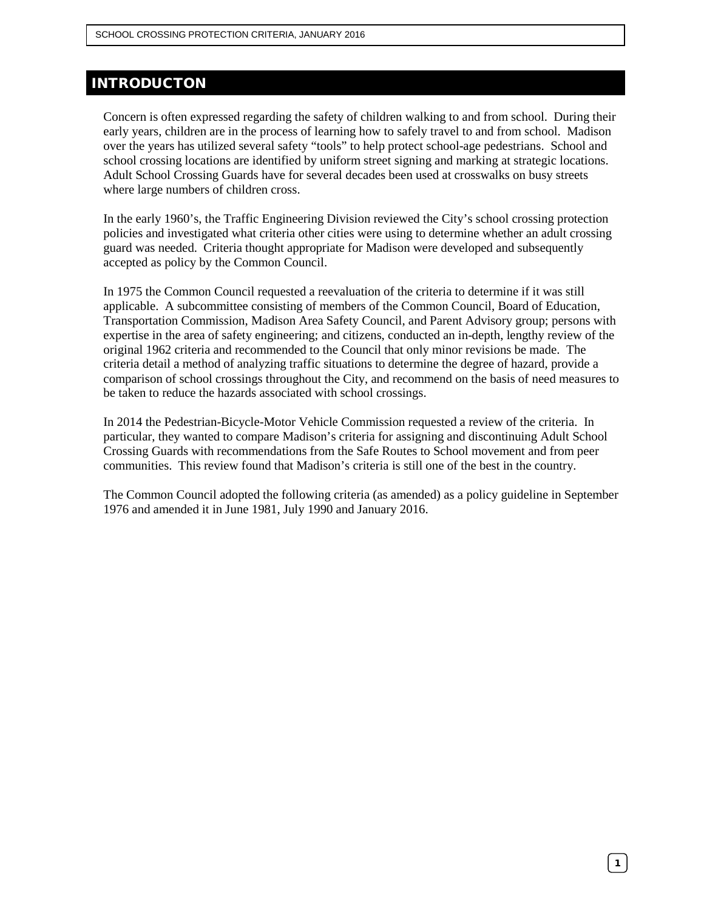# INTRODUCTON

Concern is often expressed regarding the safety of children walking to and from school. During their early years, children are in the process of learning how to safely travel to and from school. Madison over the years has utilized several safety "tools" to help protect school-age pedestrians. School and school crossing locations are identified by uniform street signing and marking at strategic locations. Adult School Crossing Guards have for several decades been used at crosswalks on busy streets where large numbers of children cross.

In the early 1960's, the Traffic Engineering Division reviewed the City's school crossing protection policies and investigated what criteria other cities were using to determine whether an adult crossing guard was needed. Criteria thought appropriate for Madison were developed and subsequently accepted as policy by the Common Council.

In 1975 the Common Council requested a reevaluation of the criteria to determine if it was still applicable. A subcommittee consisting of members of the Common Council, Board of Education, Transportation Commission, Madison Area Safety Council, and Parent Advisory group; persons with expertise in the area of safety engineering; and citizens, conducted an in-depth, lengthy review of the original 1962 criteria and recommended to the Council that only minor revisions be made. The criteria detail a method of analyzing traffic situations to determine the degree of hazard, provide a comparison of school crossings throughout the City, and recommend on the basis of need measures to be taken to reduce the hazards associated with school crossings.

In 2014 the Pedestrian-Bicycle-Motor Vehicle Commission requested a review of the criteria. In particular, they wanted to compare Madison's criteria for assigning and discontinuing Adult School Crossing Guards with recommendations from the Safe Routes to School movement and from peer communities. This review found that Madison's criteria is still one of the best in the country.

The Common Council adopted the following criteria (as amended) as a policy guideline in September 1976 and amended it in June 1981, July 1990 and January 2016.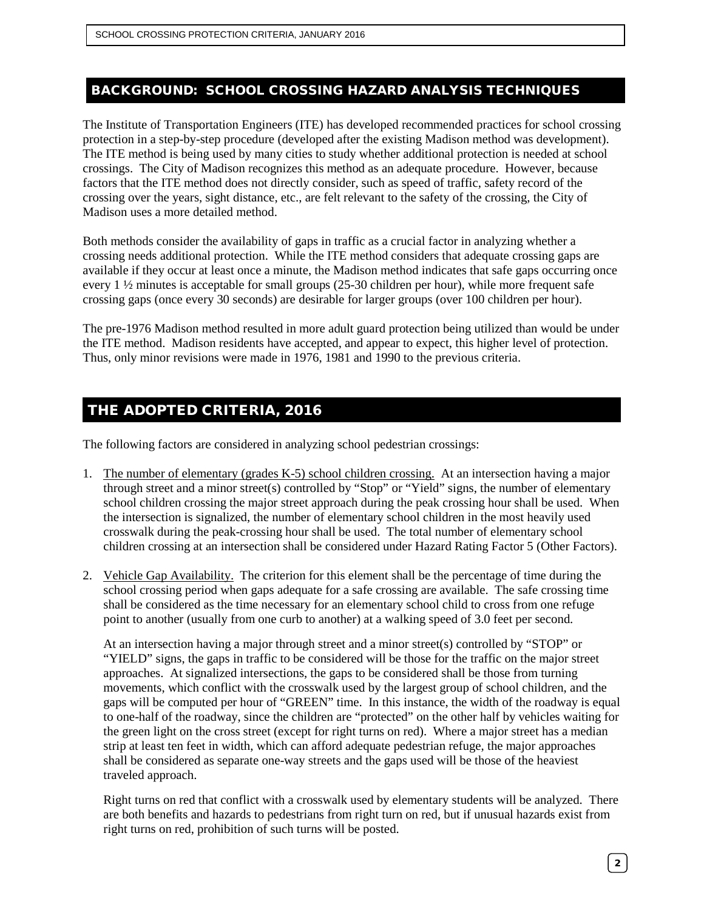## BACKGROUND: SCHOOL CROSSING HAZARD ANALYSIS TECHNIQUES

The Institute of Transportation Engineers (ITE) has developed recommended practices for school crossing protection in a step-by-step procedure (developed after the existing Madison method was development). The ITE method is being used by many cities to study whether additional protection is needed at school crossings. The City of Madison recognizes this method as an adequate procedure. However, because factors that the ITE method does not directly consider, such as speed of traffic, safety record of the crossing over the years, sight distance, etc., are felt relevant to the safety of the crossing, the City of Madison uses a more detailed method.

Both methods consider the availability of gaps in traffic as a crucial factor in analyzing whether a crossing needs additional protection. While the ITE method considers that adequate crossing gaps are available if they occur at least once a minute, the Madison method indicates that safe gaps occurring once every 1 ½ minutes is acceptable for small groups (25-30 children per hour), while more frequent safe crossing gaps (once every 30 seconds) are desirable for larger groups (over 100 children per hour).

The pre-1976 Madison method resulted in more adult guard protection being utilized than would be under the ITE method. Madison residents have accepted, and appear to expect, this higher level of protection. Thus, only minor revisions were made in 1976, 1981 and 1990 to the previous criteria.

# THE ADOPTED CRITERIA, 2016

The following factors are considered in analyzing school pedestrian crossings:

- 1. The number of elementary (grades K-5) school children crossing. At an intersection having a major through street and a minor street(s) controlled by "Stop" or "Yield" signs, the number of elementary school children crossing the major street approach during the peak crossing hour shall be used. When the intersection is signalized, the number of elementary school children in the most heavily used crosswalk during the peak-crossing hour shall be used. The total number of elementary school children crossing at an intersection shall be considered under Hazard Rating Factor 5 (Other Factors).
- 2. Vehicle Gap Availability. The criterion for this element shall be the percentage of time during the school crossing period when gaps adequate for a safe crossing are available. The safe crossing time shall be considered as the time necessary for an elementary school child to cross from one refuge point to another (usually from one curb to another) at a walking speed of 3.0 feet per second.

At an intersection having a major through street and a minor street(s) controlled by "STOP" or "YIELD" signs, the gaps in traffic to be considered will be those for the traffic on the major street approaches. At signalized intersections, the gaps to be considered shall be those from turning movements, which conflict with the crosswalk used by the largest group of school children, and the gaps will be computed per hour of "GREEN" time. In this instance, the width of the roadway is equal to one-half of the roadway, since the children are "protected" on the other half by vehicles waiting for the green light on the cross street (except for right turns on red). Where a major street has a median strip at least ten feet in width, which can afford adequate pedestrian refuge, the major approaches shall be considered as separate one-way streets and the gaps used will be those of the heaviest traveled approach.

Right turns on red that conflict with a crosswalk used by elementary students will be analyzed. There are both benefits and hazards to pedestrians from right turn on red, but if unusual hazards exist from right turns on red, prohibition of such turns will be posted.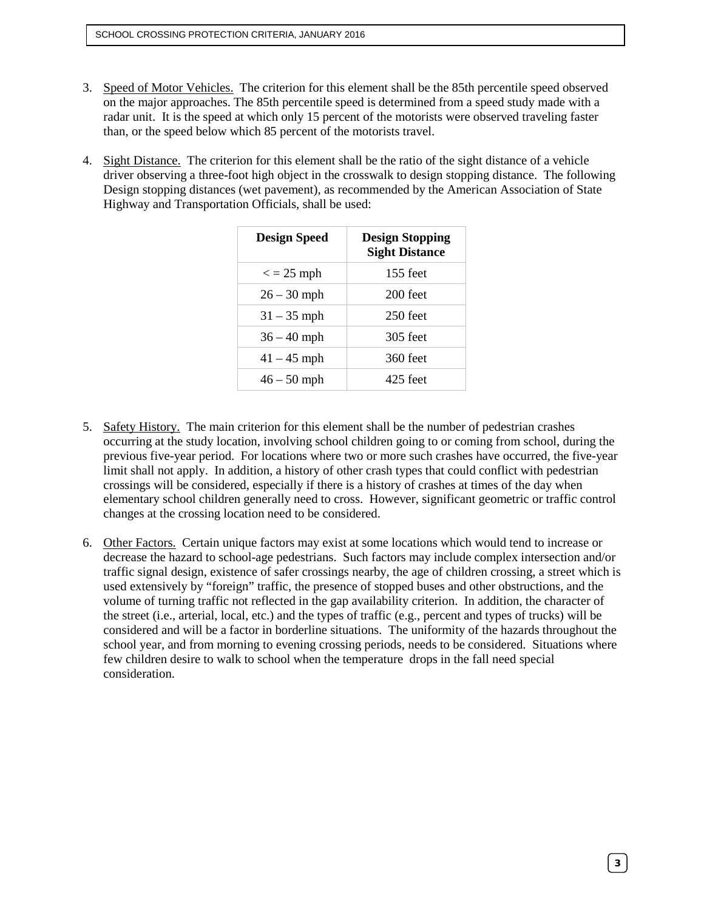- 3. Speed of Motor Vehicles. The criterion for this element shall be the 85th percentile speed observed on the major approaches. The 85th percentile speed is determined from a speed study made with a radar unit. It is the speed at which only 15 percent of the motorists were observed traveling faster than, or the speed below which 85 percent of the motorists travel.
- 4. Sight Distance. The criterion for this element shall be the ratio of the sight distance of a vehicle driver observing a three-foot high object in the crosswalk to design stopping distance. The following Design stopping distances (wet pavement), as recommended by the American Association of State Highway and Transportation Officials, shall be used:

| <b>Design Speed</b> | <b>Design Stopping</b><br><b>Sight Distance</b> |
|---------------------|-------------------------------------------------|
| $\epsilon$ = 25 mph | 155 feet                                        |
| $26 - 30$ mph       | $200$ feet                                      |
| $31 - 35$ mph       | $250$ feet                                      |
| $36 - 40$ mph       | 305 feet                                        |
| $41 - 45$ mph       | 360 feet                                        |
| $46 - 50$ mph       | 425 feet                                        |

- 5. Safety History. The main criterion for this element shall be the number of pedestrian crashes occurring at the study location, involving school children going to or coming from school, during the previous five-year period. For locations where two or more such crashes have occurred, the five-year limit shall not apply. In addition, a history of other crash types that could conflict with pedestrian crossings will be considered, especially if there is a history of crashes at times of the day when elementary school children generally need to cross. However, significant geometric or traffic control changes at the crossing location need to be considered.
- 6. Other Factors. Certain unique factors may exist at some locations which would tend to increase or decrease the hazard to school-age pedestrians. Such factors may include complex intersection and/or traffic signal design, existence of safer crossings nearby, the age of children crossing, a street which is used extensively by "foreign" traffic, the presence of stopped buses and other obstructions, and the volume of turning traffic not reflected in the gap availability criterion. In addition, the character of the street (i.e., arterial, local, etc.) and the types of traffic (e.g., percent and types of trucks) will be considered and will be a factor in borderline situations. The uniformity of the hazards throughout the school year, and from morning to evening crossing periods, needs to be considered. Situations where few children desire to walk to school when the temperature drops in the fall need special consideration.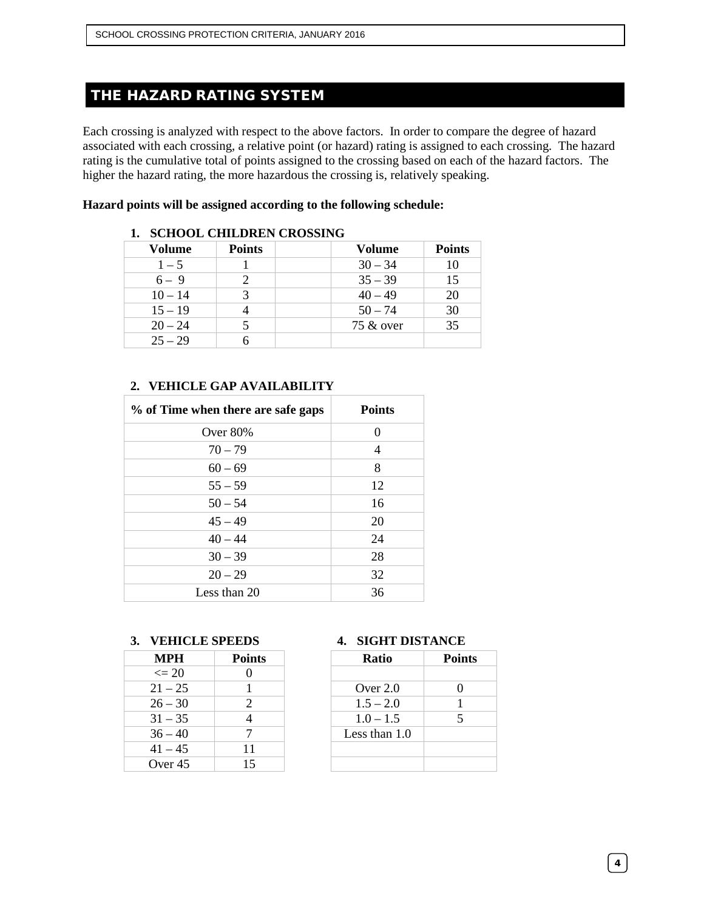# THE HAZARD RATING SYSTEM

Each crossing is analyzed with respect to the above factors. In order to compare the degree of hazard associated with each crossing, a relative point (or hazard) rating is assigned to each crossing. The hazard rating is the cumulative total of points assigned to the crossing based on each of the hazard factors. The higher the hazard rating, the more hazardous the crossing is, relatively speaking.

#### **Hazard points will be assigned according to the following schedule:**

| Volume    | <b>Points</b> | <b>Volume</b> | <b>Points</b> |
|-----------|---------------|---------------|---------------|
| $1 - 5$   |               | $30 - 34$     | 10            |
| $6 - 9$   |               | $35 - 39$     | 15            |
| $10 - 14$ |               | $40 - 49$     | 20            |
| $15 - 19$ |               | $50 - 74$     | 30            |
| $20 - 24$ |               | 75 & over     | 35            |
| $25 - 29$ |               |               |               |

#### **1. SCHOOL CHILDREN CROSSING**

#### **2. VEHICLE GAP AVAILABILITY**

| % of Time when there are safe gaps | <b>Points</b> |
|------------------------------------|---------------|
| Over $80\%$                        | $\Omega$      |
| $70 - 79$                          | 4             |
| $60 - 69$                          | 8             |
| $55 - 59$                          | 12            |
| $50 - 54$                          | 16            |
| $45 - 49$                          | 20            |
| $40 - 44$                          | 24            |
| $30 - 39$                          | 28            |
| $20 - 29$                          | 32            |
| Less than 20                       | 36            |

#### **3. VEHICLE SPEEDS 4. SIGHT DISTANCE**

| <b>MPH</b> | <b>Points</b> | <b>Ratio</b>    | Poi |
|------------|---------------|-----------------|-----|
| $\leq$ 20  |               |                 |     |
| $21 - 25$  |               | Over 2.0        |     |
| $26 - 30$  |               | $1.5 - 2.0$     |     |
| $31 - 35$  |               | $1.0 - 1.5$     |     |
| $36 - 40$  |               | Less than $1.0$ |     |
| $41 - 45$  | 11            |                 |     |
| Over 45    | 15            |                 |     |

| MPH        | <b>Points</b> | <b>Ratio</b>  | <b>Points</b> |
|------------|---------------|---------------|---------------|
| $\leq$ 20  |               |               |               |
| $21 - 25$  |               | Over $2.0$    |               |
| $26 - 30$  |               | $1.5 - 2.0$   |               |
| $31 - 35$  |               | $1.0 - 1.5$   |               |
| $6 - 40$   |               | Less than 1.0 |               |
| $-45$      | 11            |               |               |
| ) ver $45$ | 15            |               |               |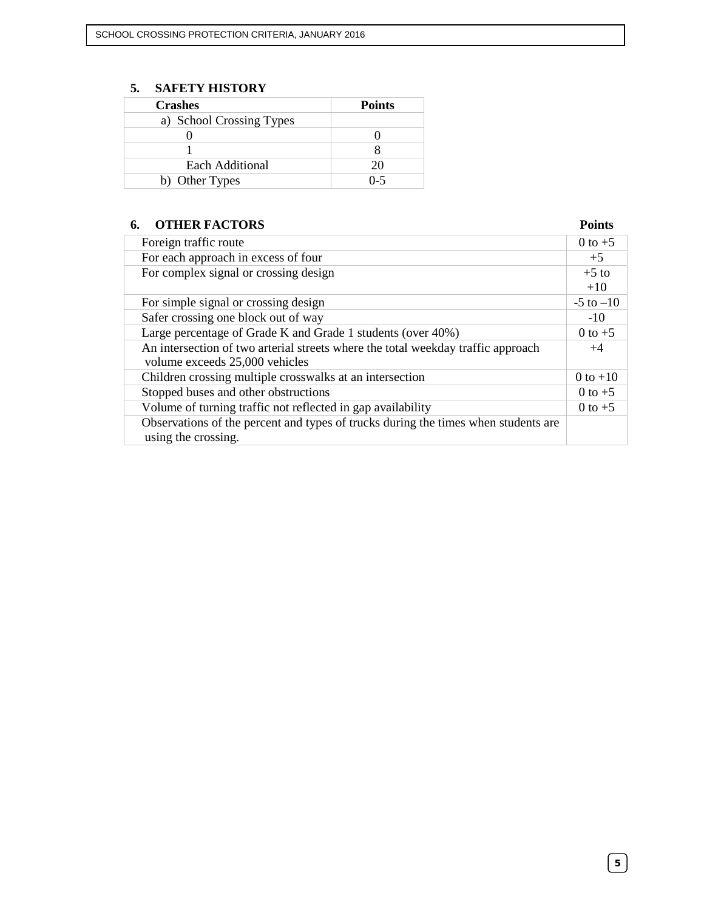## **5. SAFETY HISTORY**

| <b>Crashes</b>           | <b>Points</b> |
|--------------------------|---------------|
| a) School Crossing Types |               |
|                          |               |
|                          |               |
| <b>Each Additional</b>   | 20            |
| b) Other Types           | $0 - 5$       |

## **6. OTHER FACTORS Points**

| Foreign traffic route                                                              | $0$ to $+5$   |
|------------------------------------------------------------------------------------|---------------|
| For each approach in excess of four                                                | $+5$          |
| For complex signal or crossing design                                              | $+5$ to       |
|                                                                                    | $+10$         |
| For simple signal or crossing design                                               | $-5$ to $-10$ |
| Safer crossing one block out of way                                                | $-10^{-}$     |
| Large percentage of Grade K and Grade 1 students (over 40%)                        | $0$ to $+5$   |
| An intersection of two arterial streets where the total weekday traffic approach   | $+4$          |
| volume exceeds 25,000 vehicles                                                     |               |
| Children crossing multiple crosswalks at an intersection                           | $0$ to $+10$  |
| Stopped buses and other obstructions                                               | $0$ to $+5$   |
| Volume of turning traffic not reflected in gap availability                        | 0 to $+5$     |
| Observations of the percent and types of trucks during the times when students are |               |
| using the crossing.                                                                |               |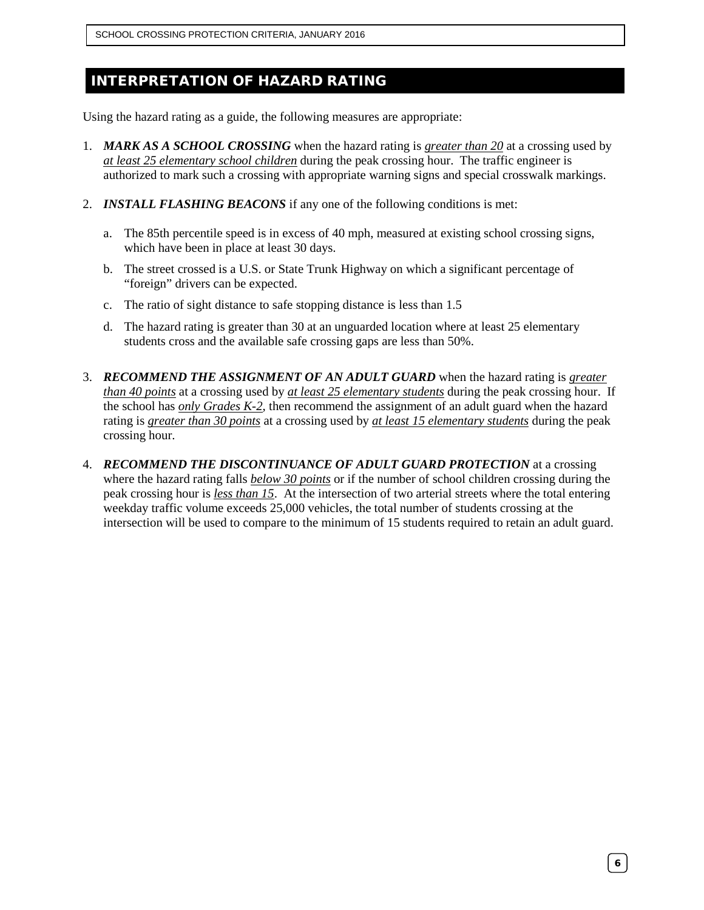SCHOOL CROSSING PROTECTION CRITERIA, JANUARY 2016

# INTERPRETATION OF HAZARD RATING

Using the hazard rating as a guide, the following measures are appropriate:

- 1. *MARK AS A SCHOOL CROSSING* when the hazard rating is *greater than 20* at a crossing used by *at least 25 elementary school children* during the peak crossing hour. The traffic engineer is authorized to mark such a crossing with appropriate warning signs and special crosswalk markings.
- 2. *INSTALL FLASHING BEACONS* if any one of the following conditions is met:
	- a. The 85th percentile speed is in excess of 40 mph, measured at existing school crossing signs, which have been in place at least 30 days.
	- b. The street crossed is a U.S. or State Trunk Highway on which a significant percentage of "foreign" drivers can be expected.
	- c. The ratio of sight distance to safe stopping distance is less than 1.5
	- d. The hazard rating is greater than 30 at an unguarded location where at least 25 elementary students cross and the available safe crossing gaps are less than 50%.
- 3. *RECOMMEND THE ASSIGNMENT OF AN ADULT GUARD* when the hazard rating is *greater than 40 points* at a crossing used by *at least 25 elementary students* during the peak crossing hour. If the school has *only Grades K-2*, then recommend the assignment of an adult guard when the hazard rating is *greater than 30 points* at a crossing used by *at least 15 elementary students* during the peak crossing hour.
- 4. *RECOMMEND THE DISCONTINUANCE OF ADULT GUARD PROTECTION* at a crossing where the hazard rating falls *below 30 points* or if the number of school children crossing during the peak crossing hour is *less than 15*. At the intersection of two arterial streets where the total entering weekday traffic volume exceeds 25,000 vehicles, the total number of students crossing at the intersection will be used to compare to the minimum of 15 students required to retain an adult guard.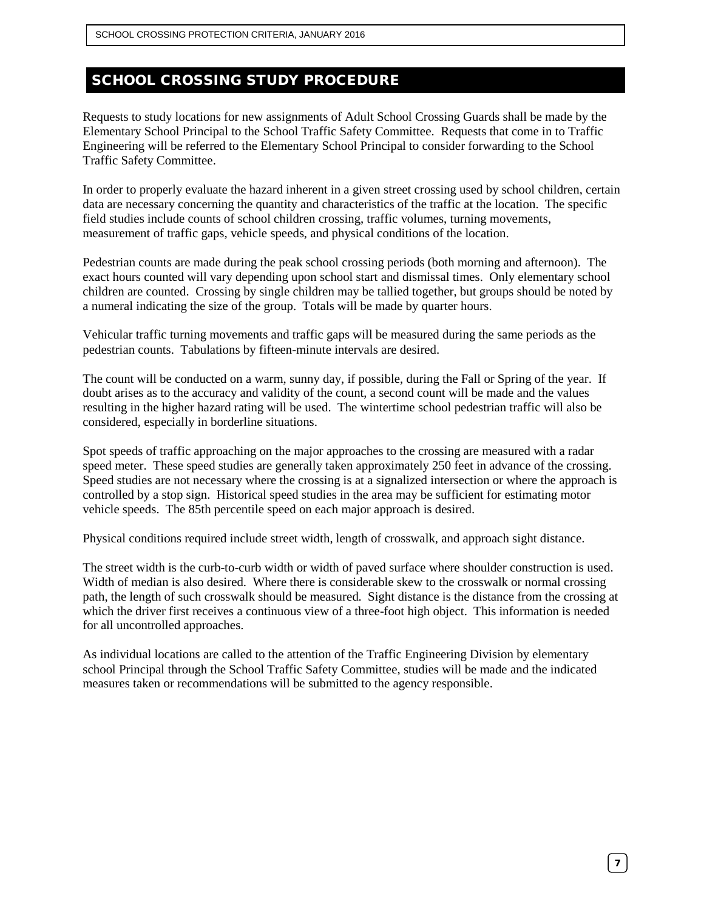# SCHOOL CROSSING STUDY PROCEDURE

Requests to study locations for new assignments of Adult School Crossing Guards shall be made by the Elementary School Principal to the School Traffic Safety Committee. Requests that come in to Traffic Engineering will be referred to the Elementary School Principal to consider forwarding to the School Traffic Safety Committee.

In order to properly evaluate the hazard inherent in a given street crossing used by school children, certain data are necessary concerning the quantity and characteristics of the traffic at the location. The specific field studies include counts of school children crossing, traffic volumes, turning movements, measurement of traffic gaps, vehicle speeds, and physical conditions of the location.

Pedestrian counts are made during the peak school crossing periods (both morning and afternoon). The exact hours counted will vary depending upon school start and dismissal times. Only elementary school children are counted. Crossing by single children may be tallied together, but groups should be noted by a numeral indicating the size of the group. Totals will be made by quarter hours.

Vehicular traffic turning movements and traffic gaps will be measured during the same periods as the pedestrian counts. Tabulations by fifteen-minute intervals are desired.

The count will be conducted on a warm, sunny day, if possible, during the Fall or Spring of the year. If doubt arises as to the accuracy and validity of the count, a second count will be made and the values resulting in the higher hazard rating will be used. The wintertime school pedestrian traffic will also be considered, especially in borderline situations.

Spot speeds of traffic approaching on the major approaches to the crossing are measured with a radar speed meter. These speed studies are generally taken approximately 250 feet in advance of the crossing. Speed studies are not necessary where the crossing is at a signalized intersection or where the approach is controlled by a stop sign. Historical speed studies in the area may be sufficient for estimating motor vehicle speeds. The 85th percentile speed on each major approach is desired.

Physical conditions required include street width, length of crosswalk, and approach sight distance.

The street width is the curb-to-curb width or width of paved surface where shoulder construction is used. Width of median is also desired. Where there is considerable skew to the crosswalk or normal crossing path, the length of such crosswalk should be measured. Sight distance is the distance from the crossing at which the driver first receives a continuous view of a three-foot high object. This information is needed for all uncontrolled approaches.

As individual locations are called to the attention of the Traffic Engineering Division by elementary school Principal through the School Traffic Safety Committee, studies will be made and the indicated measures taken or recommendations will be submitted to the agency responsible.